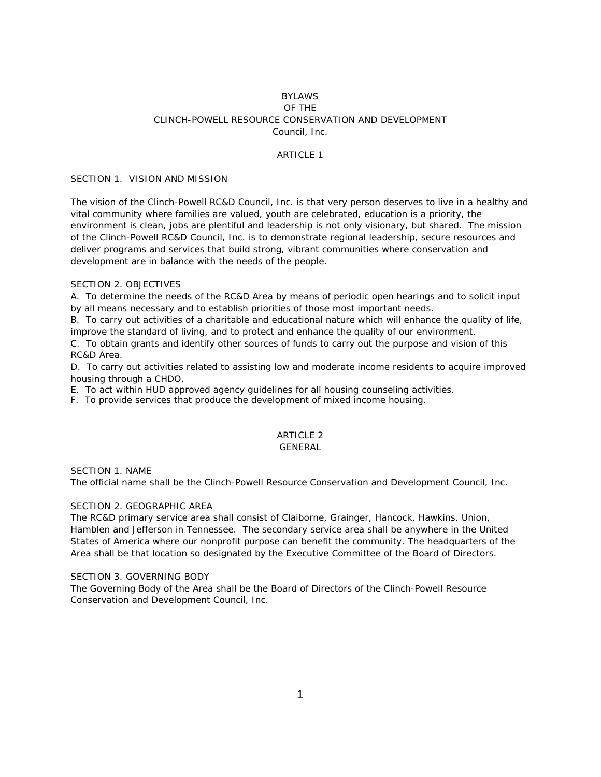# BYLAWS OF THE CLINCH-POWELL RESOURCE CONSERVATION AND DEVELOPMENT Council, Inc.

#### ARTICLE 1

#### SECTION 1. VISION AND MISSION

The vision of the Clinch-Powell RC&D Council, Inc. is that very person deserves to live in a healthy and vital community where families are valued, youth are celebrated, education is a priority, the environment is clean, jobs are plentiful and leadership is not only visionary, but shared. The mission of the Clinch-Powell RC&D Council, Inc. is to demonstrate regional leadership, secure resources and deliver programs and services that build strong, vibrant communities where conservation and development are in balance with the needs of the people.

#### SECTION 2. OBJECTIVES

A. To determine the needs of the RC&D Area by means of periodic open hearings and to solicit input by all means necessary and to establish priorities of those most important needs.

B. To carry out activities of a charitable and educational nature which will enhance the quality of life, improve the standard of living, and to protect and enhance the quality of our environment.

C. To obtain grants and identify other sources of funds to carry out the purpose and vision of this RC&D Area.

D. To carry out activities related to assisting low and moderate income residents to acquire improved housing through a CHDO.

E. To act within HUD approved agency guidelines for all housing counseling activities.

F. To provide services that produce the development of mixed income housing.

#### ARTICLE 2 GENERAL

# SECTION 1. NAME

The official name shall be the Clinch-Powell Resource Conservation and Development Council, Inc.

# SECTION 2. GEOGRAPHIC AREA

The RC&D primary service area shall consist of Claiborne, Grainger, Hancock, Hawkins, Union, Hamblen and Jefferson in Tennessee. The secondary service area shall be anywhere in the United States of America where our nonprofit purpose can benefit the community. The headquarters of the Area shall be that location so designated by the Executive Committee of the Board of Directors.

#### SECTION 3. GOVERNING BODY

The Governing Body of the Area shall be the Board of Directors of the Clinch-Powell Resource Conservation and Development Council, Inc.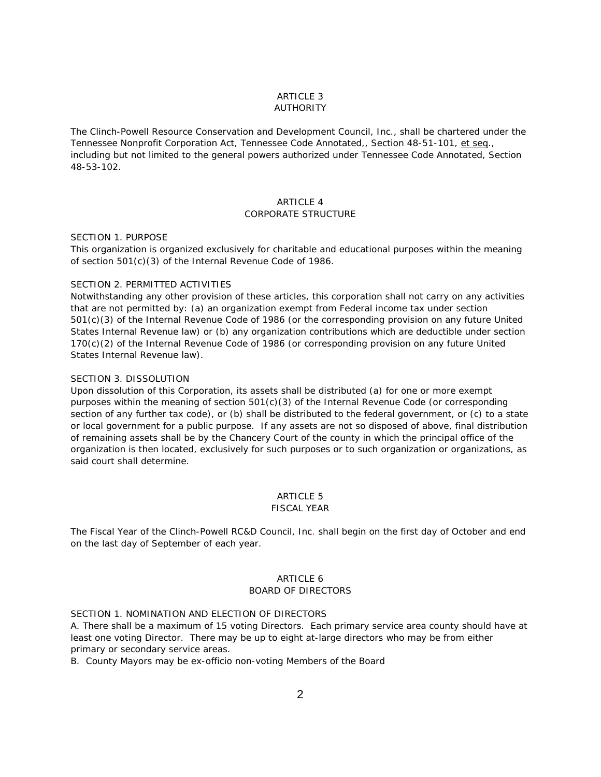# ARTICLE 3 AUTHORITY

The Clinch-Powell Resource Conservation and Development Council, Inc., shall be chartered under the Tennessee Nonprofit Corporation Act, Tennessee Code Annotated,, Section 48-51-101, et seq., including but not limited to the general powers authorized under Tennessee Code Annotated, Section 48-53-102.

#### **ARTICLE 4**

# CORPORATE STRUCTURE

# SECTION 1. PURPOSE

This organization is organized exclusively for charitable and educational purposes within the meaning of section 501(c)(3) of the Internal Revenue Code of 1986.

#### SECTION 2. PERMITTED ACTIVITIES

Notwithstanding any other provision of these articles, this corporation shall not carry on any activities that are not permitted by: (a) an organization exempt from Federal income tax under section 501(c)(3) of the Internal Revenue Code of 1986 (or the corresponding provision on any future United States Internal Revenue law) or (b) any organization contributions which are deductible under section 170(c)(2) of the Internal Revenue Code of 1986 (or corresponding provision on any future United States Internal Revenue law).

# SECTION 3. DISSOLUTION

Upon dissolution of this Corporation, its assets shall be distributed (a) for one or more exempt purposes within the meaning of section 501(c)(3) of the Internal Revenue Code (or corresponding section of any further tax code), or (b) shall be distributed to the federal government, or (c) to a state or local government for a public purpose. If any assets are not so disposed of above, final distribution of remaining assets shall be by the Chancery Court of the county in which the principal office of the organization is then located, exclusively for such purposes or to such organization or organizations, as said court shall determine.

# ARTICLE 5

# FISCAL YEAR

The Fiscal Year of the Clinch-Powell RC&D Council, Inc. shall begin on the first day of October and end on the last day of September of each year.

# ARTICLE 6 BOARD OF DIRECTORS

### SECTION 1. NOMINATION AND ELECTION OF DIRECTORS

A. There shall be a maximum of 15 voting Directors. Each primary service area county should have at least one voting Director. There may be up to eight at-large directors who may be from either primary or secondary service areas.

B. County Mayors may be ex-officio non-voting Members of the Board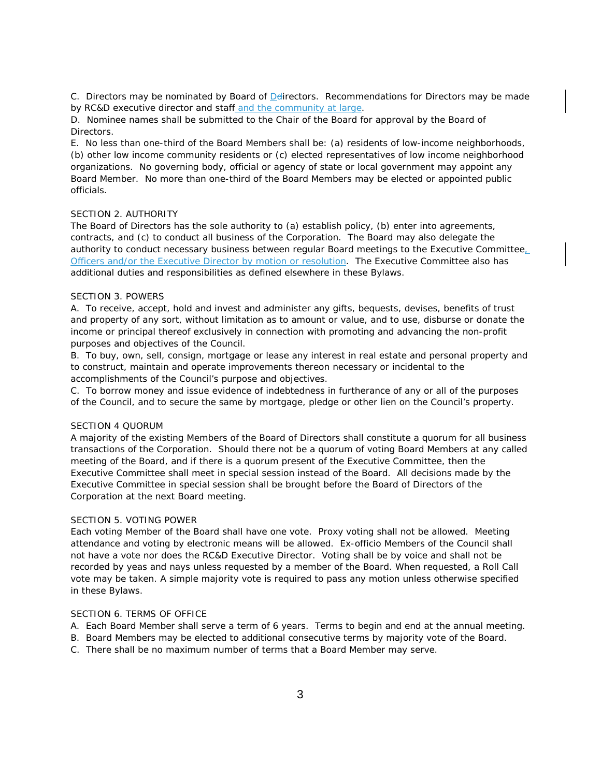C. Directors may be nominated by Board of Delirectors. Recommendations for Directors may be made by RC&D executive director and staff and the community at large.

D. Nominee names shall be submitted to the Chair of the Board for approval by the Board of Directors.

E. No less than one-third of the Board Members shall be: (a) residents of low-income neighborhoods, (b) other low income community residents or (c) elected representatives of low income neighborhood organizations. No governing body, official or agency of state or local government may appoint any Board Member. No more than one-third of the Board Members may be elected or appointed public officials.

# SECTION 2. AUTHORITY

The Board of Directors has the sole authority to (a) establish policy, (b) enter into agreements, contracts, and (c) to conduct all business of the Corporation. The Board may also delegate the authority to conduct necessary business between regular Board meetings to the Executive Committee, Officers and/or the Executive Director by motion or resolution. The Executive Committee also has additional duties and responsibilities as defined elsewhere in these Bylaws.

### SECTION 3. POWERS

A. To receive, accept, hold and invest and administer any gifts, bequests, devises, benefits of trust and property of any sort, without limitation as to amount or value, and to use, disburse or donate the income or principal thereof exclusively in connection with promoting and advancing the non-profit purposes and objectives of the Council.

B. To buy, own, sell, consign, mortgage or lease any interest in real estate and personal property and to construct, maintain and operate improvements thereon necessary or incidental to the accomplishments of the Council's purpose and objectives.

C. To borrow money and issue evidence of indebtedness in furtherance of any or all of the purposes of the Council, and to secure the same by mortgage, pledge or other lien on the Council's property.

### SECTION 4 QUORUM

A majority of the existing Members of the Board of Directors shall constitute a quorum for all business transactions of the Corporation. Should there not be a quorum of voting Board Members at any called meeting of the Board, and if there is a quorum present of the Executive Committee, then the Executive Committee shall meet in special session instead of the Board. All decisions made by the Executive Committee in special session shall be brought before the Board of Directors of the Corporation at the next Board meeting.

### SECTION 5. VOTING POWER

Each voting Member of the Board shall have one vote. Proxy voting shall not be allowed. Meeting attendance and voting by electronic means will be allowed. Ex-officio Members of the Council shall not have a vote nor does the RC&D Executive Director. Voting shall be by voice and shall not be recorded by yeas and nays unless requested by a member of the Board. When requested, a Roll Call vote may be taken. A simple majority vote is required to pass any motion unless otherwise specified in these Bylaws.

# SECTION 6. TERMS OF OFFICE

- A. Each Board Member shall serve a term of 6 years. Terms to begin and end at the annual meeting.
- B. Board Members may be elected to additional consecutive terms by majority vote of the Board.
- C. There shall be no maximum number of terms that a Board Member may serve.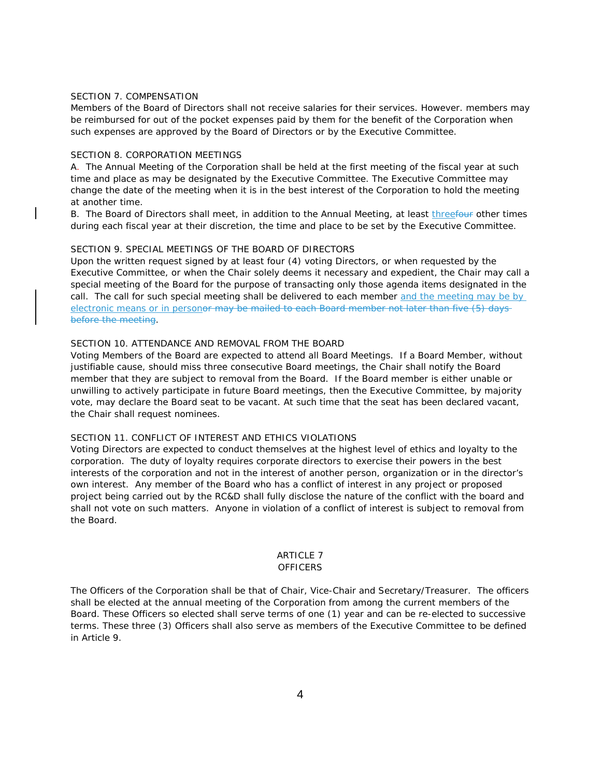# SECTION 7. COMPENSATION

Members of the Board of Directors shall not receive salaries for their services. However. members may be reimbursed for out of the pocket expenses paid by them for the benefit of the Corporation when such expenses are approved by the Board of Directors or by the Executive Committee.

#### SECTION 8. CORPORATION MEETINGS

A. The Annual Meeting of the Corporation shall be held at the first meeting of the fiscal year at such time and place as may be designated by the Executive Committee. The Executive Committee may change the date of the meeting when it is in the best interest of the Corporation to hold the meeting at another time.

B. The Board of Directors shall meet, in addition to the Annual Meeting, at least threefour other times during each fiscal year at their discretion, the time and place to be set by the Executive Committee.

# SECTION 9. SPECIAL MEETINGS OF THE BOARD OF DIRECTORS

Upon the written request signed by at least four (4) voting Directors, or when requested by the Executive Committee, or when the Chair solely deems it necessary and expedient, the Chair may call a special meeting of the Board for the purpose of transacting only those agenda items designated in the call. The call for such special meeting shall be delivered to each member and the meeting may be by electronic means or in person<del>or may be mailed to each Board member not later than five (5) days</del> before the meeting.

#### SECTION 10. ATTENDANCE AND REMOVAL FROM THE BOARD

Voting Members of the Board are expected to attend all Board Meetings. If a Board Member, without justifiable cause, should miss three consecutive Board meetings, the Chair shall notify the Board member that they are subject to removal from the Board. If the Board member is either unable or unwilling to actively participate in future Board meetings, then the Executive Committee, by majority vote, may declare the Board seat to be vacant. At such time that the seat has been declared vacant, the Chair shall request nominees.

#### SECTION 11. CONFLICT OF INTEREST AND ETHICS VIOLATIONS

Voting Directors are expected to conduct themselves at the highest level of ethics and loyalty to the corporation. The duty of loyalty requires corporate directors to exercise their powers in the best interests of the corporation and not in the interest of another person, organization or in the director's own interest. Any member of the Board who has a conflict of interest in any project or proposed project being carried out by the RC&D shall fully disclose the nature of the conflict with the board and shall not vote on such matters. Anyone in violation of a conflict of interest is subject to removal from the Board.

#### **ARTICLE 7 OFFICERS**

The Officers of the Corporation shall be that of Chair, Vice-Chair and Secretary/Treasurer. The officers shall be elected at the annual meeting of the Corporation from among the current members of the Board. These Officers so elected shall serve terms of one (1) year and can be re-elected to successive terms. These three (3) Officers shall also serve as members of the Executive Committee to be defined in Article 9.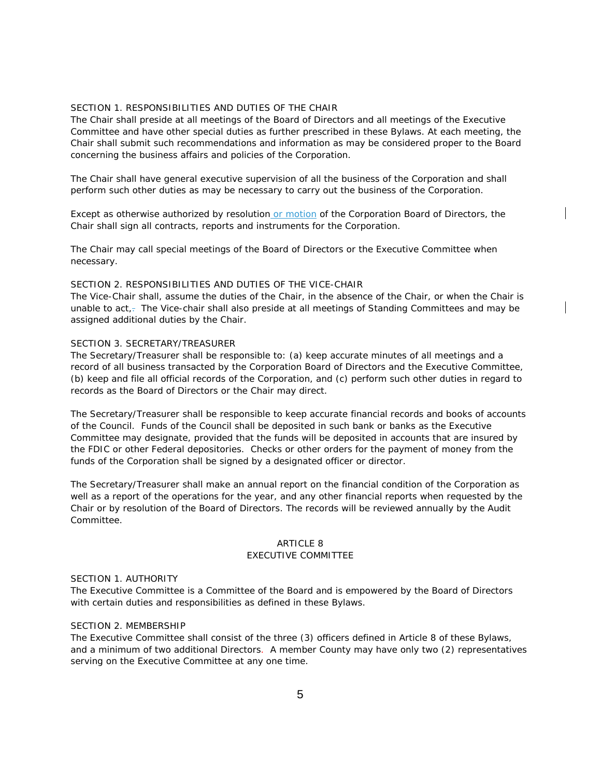# SECTION 1. RESPONSIBILITIES AND DUTIES OF THE CHAIR

The Chair shall preside at all meetings of the Board of Directors and all meetings of the Executive Committee and have other special duties as further prescribed in these Bylaws. At each meeting, the Chair shall submit such recommendations and information as may be considered proper to the Board concerning the business affairs and policies of the Corporation.

The Chair shall have general executive supervision of all the business of the Corporation and shall perform such other duties as may be necessary to carry out the business of the Corporation.

Except as otherwise authorized by resolution or motion of the Corporation Board of Directors, the Chair shall sign all contracts, reports and instruments for the Corporation.

The Chair may call special meetings of the Board of Directors or the Executive Committee when necessary.

#### SECTION 2. RESPONSIBILITIES AND DUTIES OF THE VICE-CHAIR

The Vice-Chair shall, assume the duties of the Chair, in the absence of the Chair, or when the Chair is unable to act,- The Vice-chair shall also preside at all meetings of Standing Committees and may be assigned additional duties by the Chair.

#### SECTION 3. SECRETARY/TREASURER

The Secretary/Treasurer shall be responsible to: (a) keep accurate minutes of all meetings and a record of all business transacted by the Corporation Board of Directors and the Executive Committee, (b) keep and file all official records of the Corporation, and (c) perform such other duties in regard to records as the Board of Directors or the Chair may direct.

The Secretary/Treasurer shall be responsible to keep accurate financial records and books of accounts of the Council. Funds of the Council shall be deposited in such bank or banks as the Executive Committee may designate, provided that the funds will be deposited in accounts that are insured by the FDIC or other Federal depositories. Checks or other orders for the payment of money from the funds of the Corporation shall be signed by a designated officer or director.

The Secretary/Treasurer shall make an annual report on the financial condition of the Corporation as well as a report of the operations for the year, and any other financial reports when requested by the Chair or by resolution of the Board of Directors. The records will be reviewed annually by the Audit Committee.

#### ARTICLE 8 EXECUTIVE COMMITTEE

### SECTION 1. AUTHORITY

The Executive Committee is a Committee of the Board and is empowered by the Board of Directors with certain duties and responsibilities as defined in these Bylaws.

# SECTION 2. MEMBERSHIP

The Executive Committee shall consist of the three (3) officers defined in Article 8 of these Bylaws, and a minimum of two additional Directors. A member County may have only two (2) representatives serving on the Executive Committee at any one time.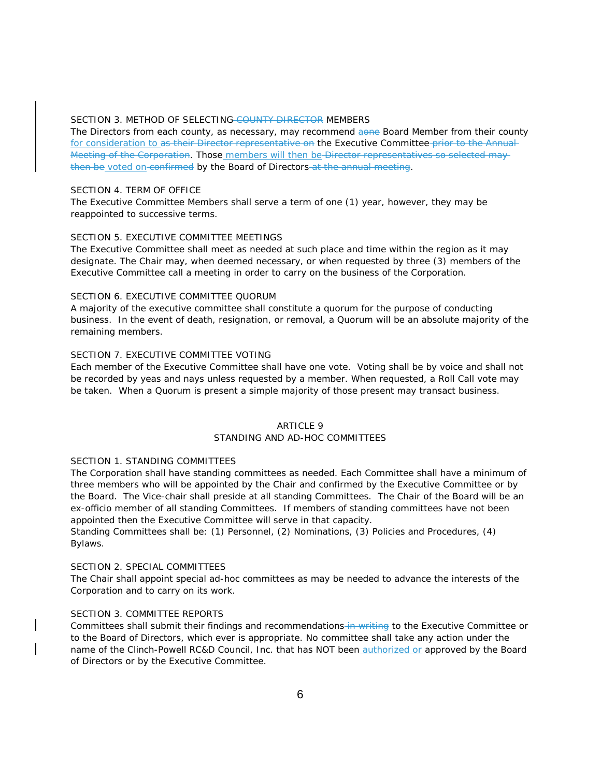#### SECTION 3. METHOD OF SELECTING COUNTY DIRECTOR MEMBERS

The Directors from each county, as necessary, may recommend aone Board Member from their county for consideration to as their Director representative on the Executive Committee prior to the Annual-Meeting of the Corporation. Those members will then be Director representatives so selected maythen be voted on confirmed by the Board of Directors at the annual meeting.

#### SECTION 4. TERM OF OFFICE

The Executive Committee Members shall serve a term of one (1) year, however, they may be reappointed to successive terms.

# SECTION 5. EXECUTIVE COMMITTEE MEETINGS

The Executive Committee shall meet as needed at such place and time within the region as it may designate. The Chair may, when deemed necessary, or when requested by three (3) members of the Executive Committee call a meeting in order to carry on the business of the Corporation.

# SECTION 6. EXECUTIVE COMMITTEE QUORUM

A majority of the executive committee shall constitute a quorum for the purpose of conducting business. In the event of death, resignation, or removal, a Quorum will be an absolute majority of the remaining members.

# SECTION 7. EXECUTIVE COMMITTEE VOTING

Each member of the Executive Committee shall have one vote. Voting shall be by voice and shall not be recorded by yeas and nays unless requested by a member. When requested, a Roll Call vote may be taken. When a Quorum is present a simple majority of those present may transact business.

# **ARTICLE 9**

# STANDING AND AD-HOC COMMITTEES

#### SECTION 1. STANDING COMMITTEES

The Corporation shall have standing committees as needed. Each Committee shall have a minimum of three members who will be appointed by the Chair and confirmed by the Executive Committee or by the Board. The Vice-chair shall preside at all standing Committees. The Chair of the Board will be an ex-officio member of all standing Committees. If members of standing committees have not been appointed then the Executive Committee will serve in that capacity.

Standing Committees shall be: (1) Personnel, (2) Nominations, (3) Policies and Procedures, (4) Bylaws.

### SECTION 2. SPECIAL COMMITTEES

The Chair shall appoint special ad-hoc committees as may be needed to advance the interests of the Corporation and to carry on its work.

### SECTION 3. COMMITTEE REPORTS

Committees shall submit their findings and recommendations-in writing to the Executive Committee or to the Board of Directors, which ever is appropriate. No committee shall take any action under the name of the Clinch-Powell RC&D Council, Inc. that has NOT been authorized or approved by the Board of Directors or by the Executive Committee.